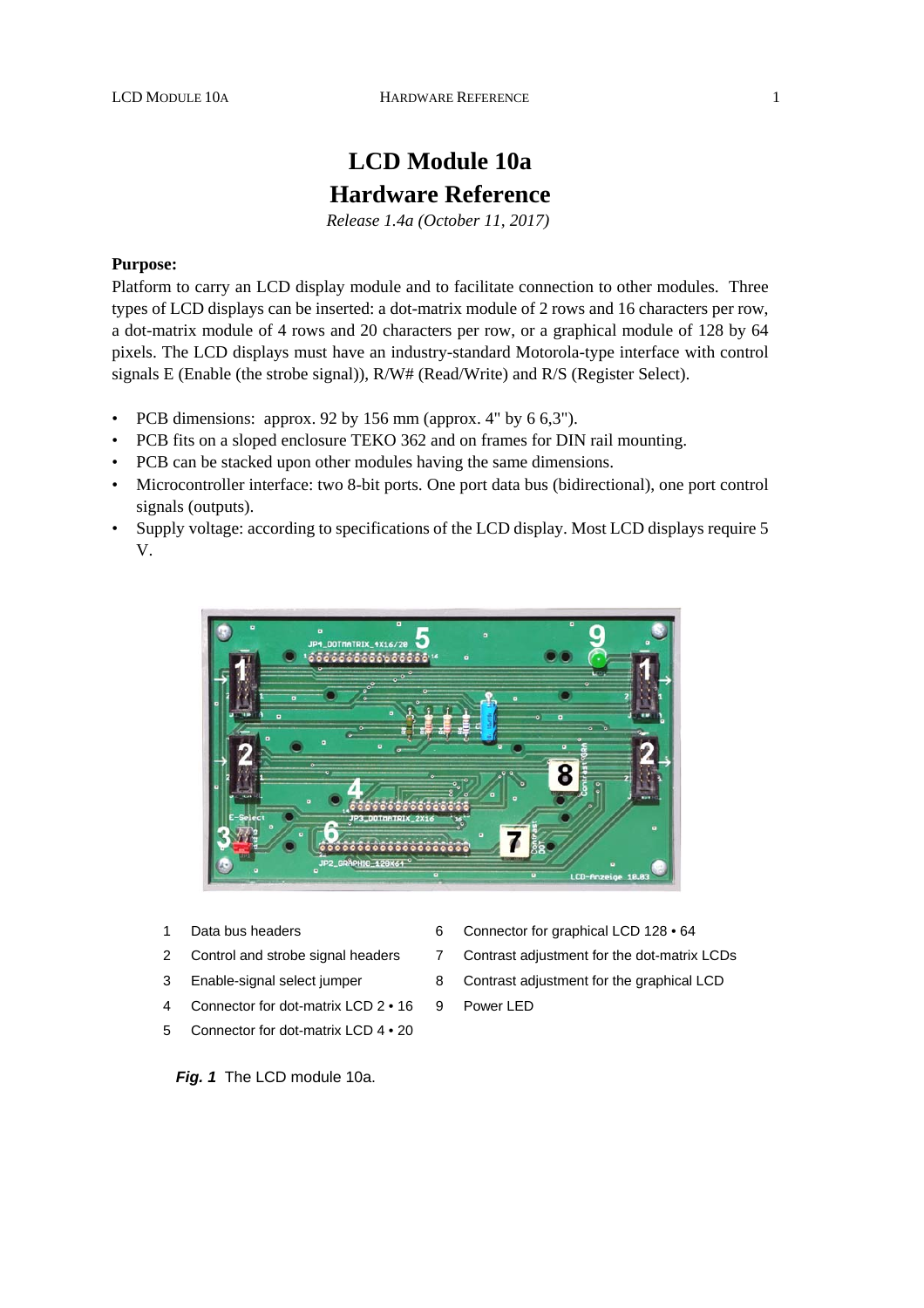# **LCD Module 10a Hardware Reference**

*Release 1.4a (October 11, 2017)* 

### **Purpose:**

Platform to carry an LCD display module and to facilitate connection to other modules. Three types of LCD displays can be inserted: a dot-matrix module of 2 rows and 16 characters per row, a dot-matrix module of 4 rows and 20 characters per row, or a graphical module of 128 by 64 pixels. The LCD displays must have an industry-standard Motorola-type interface with control signals E (Enable (the strobe signal)), R/W# (Read/Write) and R/S (Register Select).

- PCB dimensions: approx. 92 by 156 mm (approx. 4" by  $6.6,3$ ").
- PCB fits on a sloped enclosure TEKO 362 and on frames for DIN rail mounting.
- PCB can be stacked upon other modules having the same dimensions.
- Microcontroller interface: two 8-bit ports. One port data bus (bidirectional), one port control signals (outputs).
- Supply voltage: according to specifications of the LCD display. Most LCD displays require 5 V.



- 
- 
- 
- 4 Connector for dot-matrix LCD 2 16 9 Power LED
- 5 Connector for dot-matrix LCD 4 20
- 1 Data bus headers 6 Connector for graphical LCD 128 64
- 2 Control and strobe signal headers 7 Contrast adjustment for the dot-matrix LCDs
- 3 Enable-signal select jumper 8 Contrast adjustment for the graphical LCD
	-

*Fig. 1* The LCD module 10a.

- 
-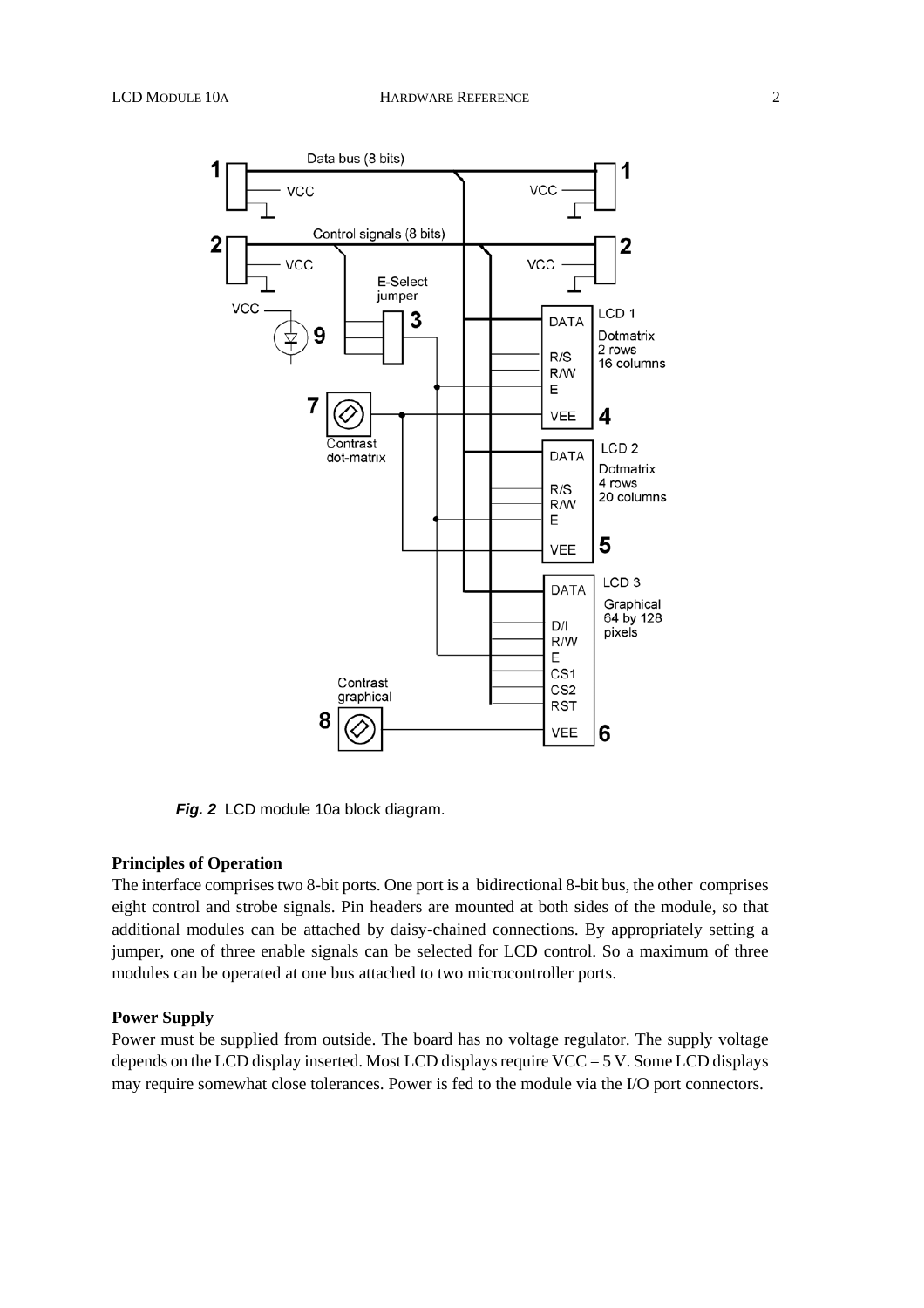

*Fig. 2* LCD module 10a block diagram.

### **Principles of Operation**

The interface comprises two 8-bit ports. One port is a bidirectional 8-bit bus, the other comprises eight control and strobe signals. Pin headers are mounted at both sides of the module, so that additional modules can be attached by daisy-chained connections. By appropriately setting a jumper, one of three enable signals can be selected for LCD control. So a maximum of three modules can be operated at one bus attached to two microcontroller ports.

### **Power Supply**

Power must be supplied from outside. The board has no voltage regulator. The supply voltage depends on the LCD display inserted. Most LCD displays require VCC = 5 V. Some LCD displays may require somewhat close tolerances. Power is fed to the module via the I/O port connectors.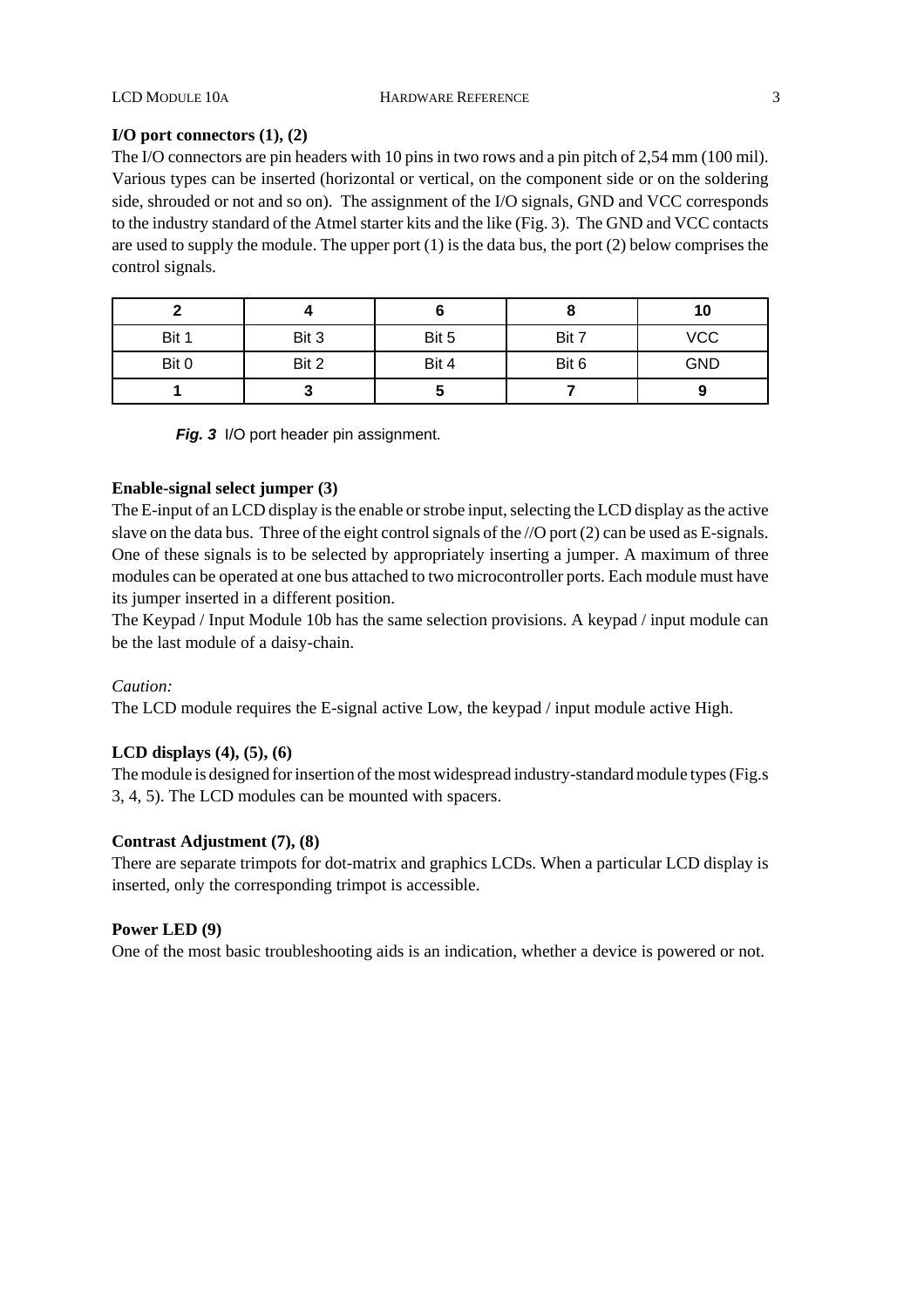### **I/O port connectors (1), (2)**

The I/O connectors are pin headers with 10 pins in two rows and a pin pitch of 2,54 mm (100 mil). Various types can be inserted (horizontal or vertical, on the component side or on the soldering side, shrouded or not and so on). The assignment of the I/O signals, GND and VCC corresponds to the industry standard of the Atmel starter kits and the like (Fig. 3). The GND and VCC contacts are used to supply the module. The upper port  $(1)$  is the data bus, the port  $(2)$  below comprises the control signals.

|       |       |       |       | 10         |
|-------|-------|-------|-------|------------|
| Bit 1 | Bit 3 | Bit 5 | Bit 7 | <b>VCC</b> |
| Bit 0 | Bit 2 | Bit 4 | Bit 6 | <b>GND</b> |
|       |       |       |       |            |

*Fig. 3* I/O port header pin assignment.

### **Enable-signal select jumper (3)**

The E-input of an LCD display is the enable or strobe input, selecting the LCD display as the active slave on the data bus. Three of the eight control signals of the //O port (2) can be used as E-signals. One of these signals is to be selected by appropriately inserting a jumper. A maximum of three modules can be operated at one bus attached to two microcontroller ports. Each module must have its jumper inserted in a different position.

The Keypad / Input Module 10b has the same selection provisions. A keypad / input module can be the last module of a daisy-chain.

### *Caution:*

The LCD module requires the E-signal active Low, the keypad / input module active High.

### **LCD displays (4), (5), (6)**

The module is designed for insertion of the most widespread industry-standard module types (Fig.s 3, 4, 5). The LCD modules can be mounted with spacers.

### **Contrast Adjustment (7), (8)**

There are separate trimpots for dot-matrix and graphics LCDs. When a particular LCD display is inserted, only the corresponding trimpot is accessible.

### **Power LED (9)**

One of the most basic troubleshooting aids is an indication, whether a device is powered or not.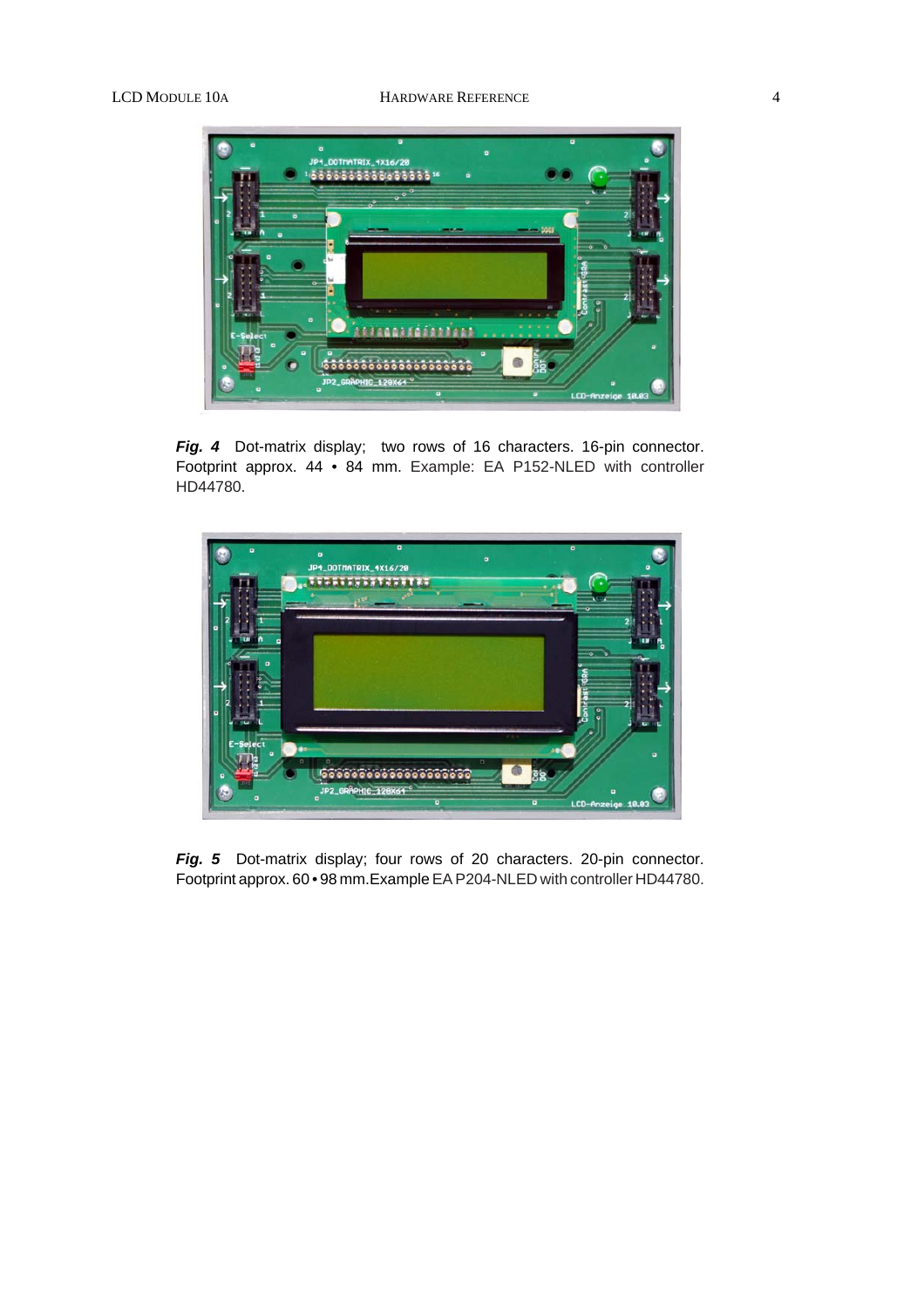

Fig. 4 Dot-matrix display; two rows of 16 characters. 16-pin connector. Footprint approx. 44 • 84 mm. Example: EA P152-NLED with controller HD44780.



Fig. 5 Dot-matrix display; four rows of 20 characters. 20-pin connector. Footprint approx. 60 • 98 mm.Example EA P204-NLED with controller HD44780.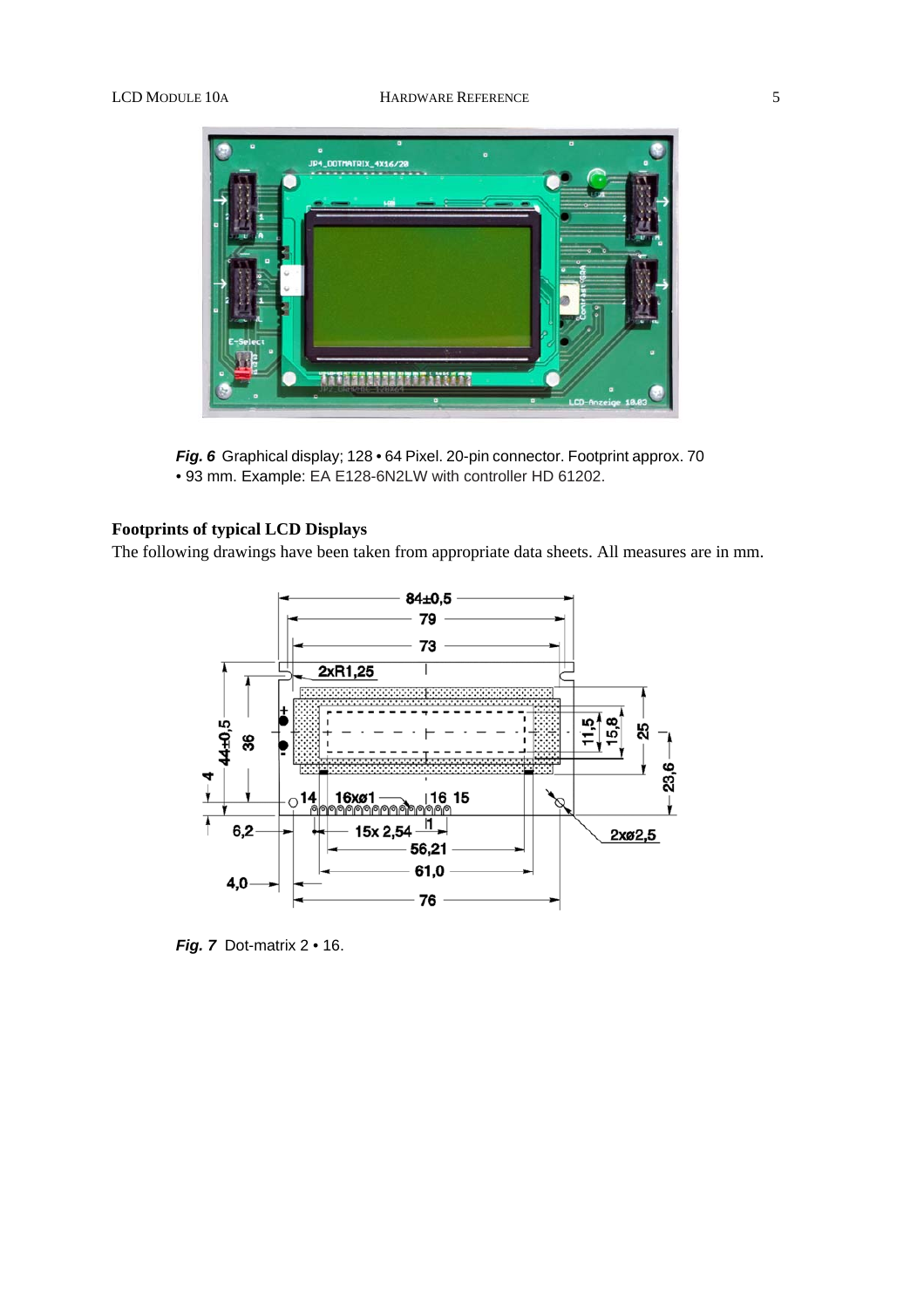

*Fig. 6* Graphical display; 128 • 64 Pixel. 20-pin connector. Footprint approx. 70 • 93 mm. Example: EA E128-6N2LW with controller HD 61202.

### **Footprints of typical LCD Displays**

The following drawings have been taken from appropriate data sheets. All measures are in mm.



*Fig. 7* Dot-matrix 2 • 16.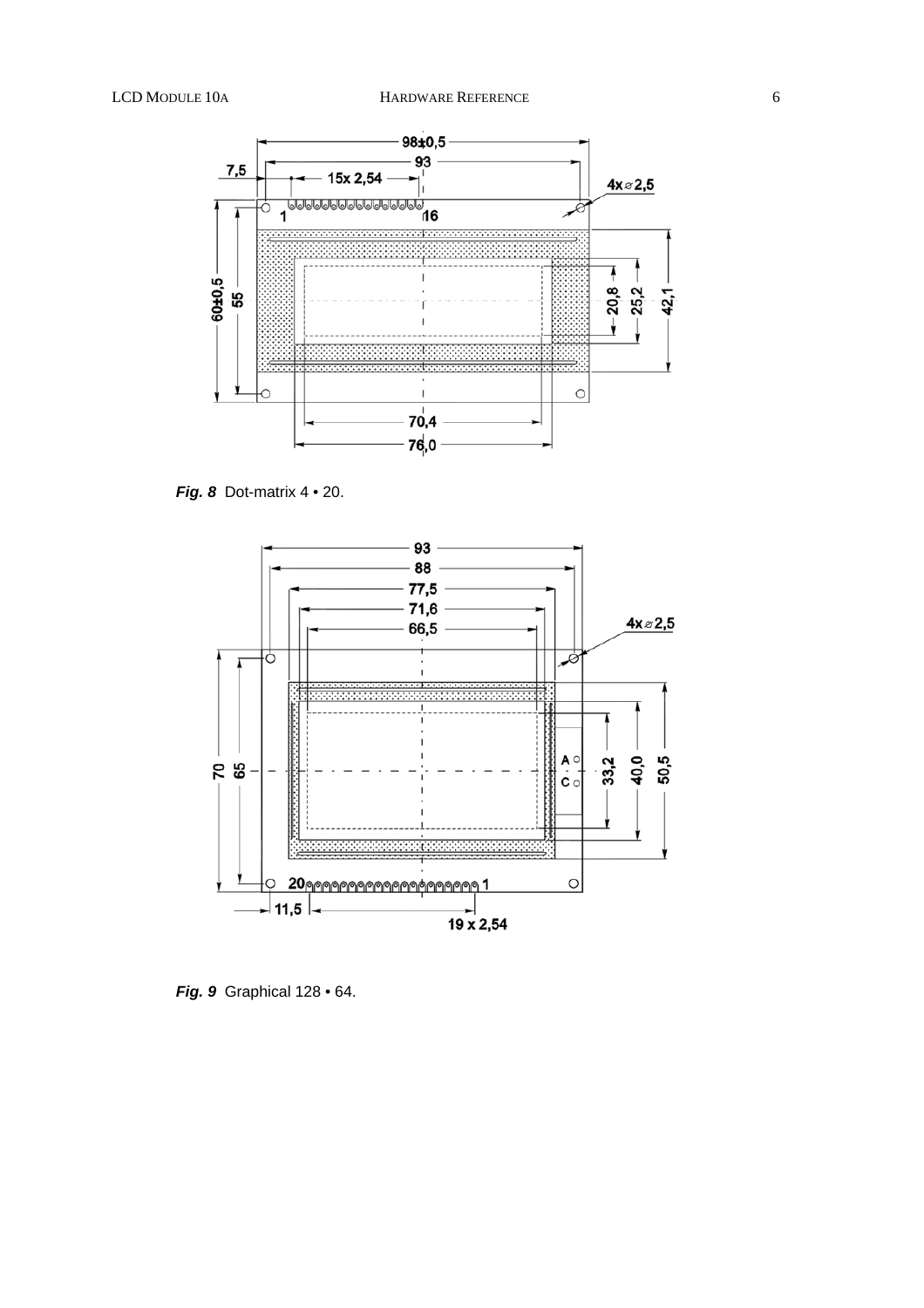

*Fig. 8* Dot-matrix 4 • 20.



*Fig. 9* Graphical 128 • 64.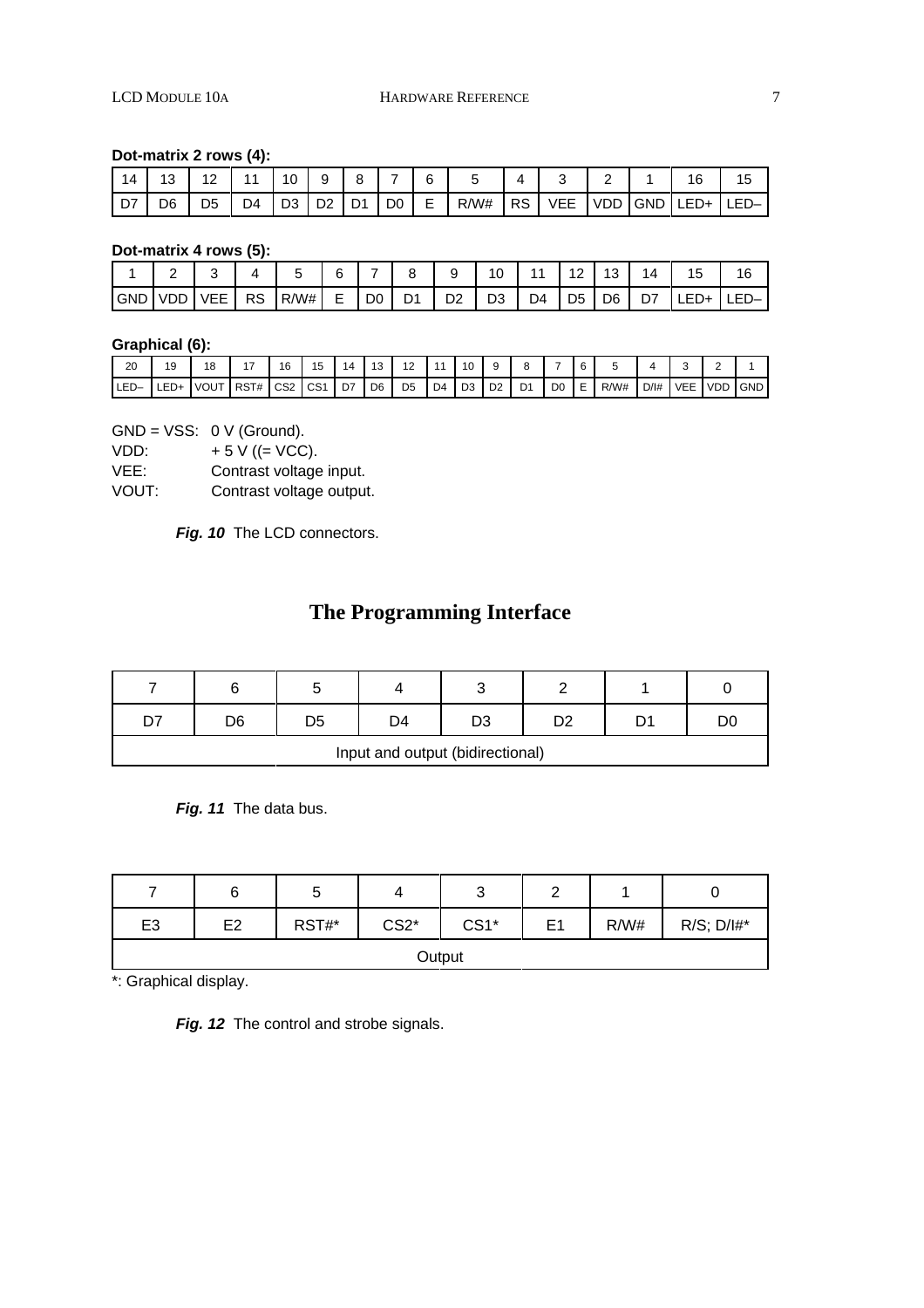### **Dot-matrix 2 rows (4):**

| 14   | 12  | 10 | 11        | 10                        | a | R | 6 |           |            |  | 16                        |  |
|------|-----|----|-----------|---------------------------|---|---|---|-----------|------------|--|---------------------------|--|
| l D7 | D6. | D5 | <b>D4</b> | ⊦   D3   D2   D1   D0   E |   |   |   | $R/W#$ RS | <b>VEE</b> |  | <u>IVDDIGNDILED+ILED−</u> |  |

**Dot-matrix 4 rows (5):**

|             |    |    |      | 6                        | -              | $\circ$ | a  | $\overline{A}$ |    | ÷              | ◡  | 4  | ~ |      |
|-------------|----|----|------|--------------------------|----------------|---------|----|----------------|----|----------------|----|----|---|------|
| <b>IGND</b> | -- | RS | R/W# | $\overline{ }$<br>⊢<br>- | D <sub>0</sub> | D1      | D2 | D <sub>3</sub> | ∩∆ | D <sub>5</sub> | D6 | D7 |   | $-1$ |

### **Graphical (6):**

| 20   | 19           | ۱O<br>O     |      | 16              | . .             | L  | $\overline{10}$<br>۰J | $\overline{A}$<br>. . |    | 10             | u              |                |                |        |      |        |            |            |            |
|------|--------------|-------------|------|-----------------|-----------------|----|-----------------------|-----------------------|----|----------------|----------------|----------------|----------------|--------|------|--------|------------|------------|------------|
| LED- | $ -$<br>LED+ | <b>VOUT</b> | RST# | CS <sub>2</sub> | CS <sub>1</sub> | D7 | D <sub>6</sub>        | D <sub>5</sub>        | D4 | D <sub>3</sub> | D <sub>2</sub> | D <sub>1</sub> | D <sub>0</sub> | -<br>- | R/W# | $D/$ # | <b>VEE</b> | <b>VDD</b> | <b>GND</b> |

 $GND = VSS: 0 V (Ground).$ 

VDD:  $+ 5 \text{ V } ((= \text{VCC}).$ <br>VEE: Contrast voltage

Contrast voltage input.

VOUT: Contrast voltage output.

Fig. 10 The LCD connectors.

# **The Programming Interface**

|                                  |    |    |    | ັ  |  |  |    |  |  |  |  |  |
|----------------------------------|----|----|----|----|--|--|----|--|--|--|--|--|
| n7                               | D6 | ገ⊏ | D4 | D3 |  |  | D( |  |  |  |  |  |
| Input and output (bidirectional) |    |    |    |    |  |  |    |  |  |  |  |  |

*Fig. 11* The data bus.

|                |                |       | 4      | ⌒<br>ັ | ╭  |      |                 |  |  |  |  |  |  |
|----------------|----------------|-------|--------|--------|----|------|-----------------|--|--|--|--|--|--|
| E <sub>3</sub> | E <sub>2</sub> | RST#* | $CS2*$ | $CS1*$ | E1 | R/W# | $R/S$ ; $D/I#*$ |  |  |  |  |  |  |
|                | Output         |       |        |        |    |      |                 |  |  |  |  |  |  |

\*: Graphical display.

Fig. 12 The control and strobe signals.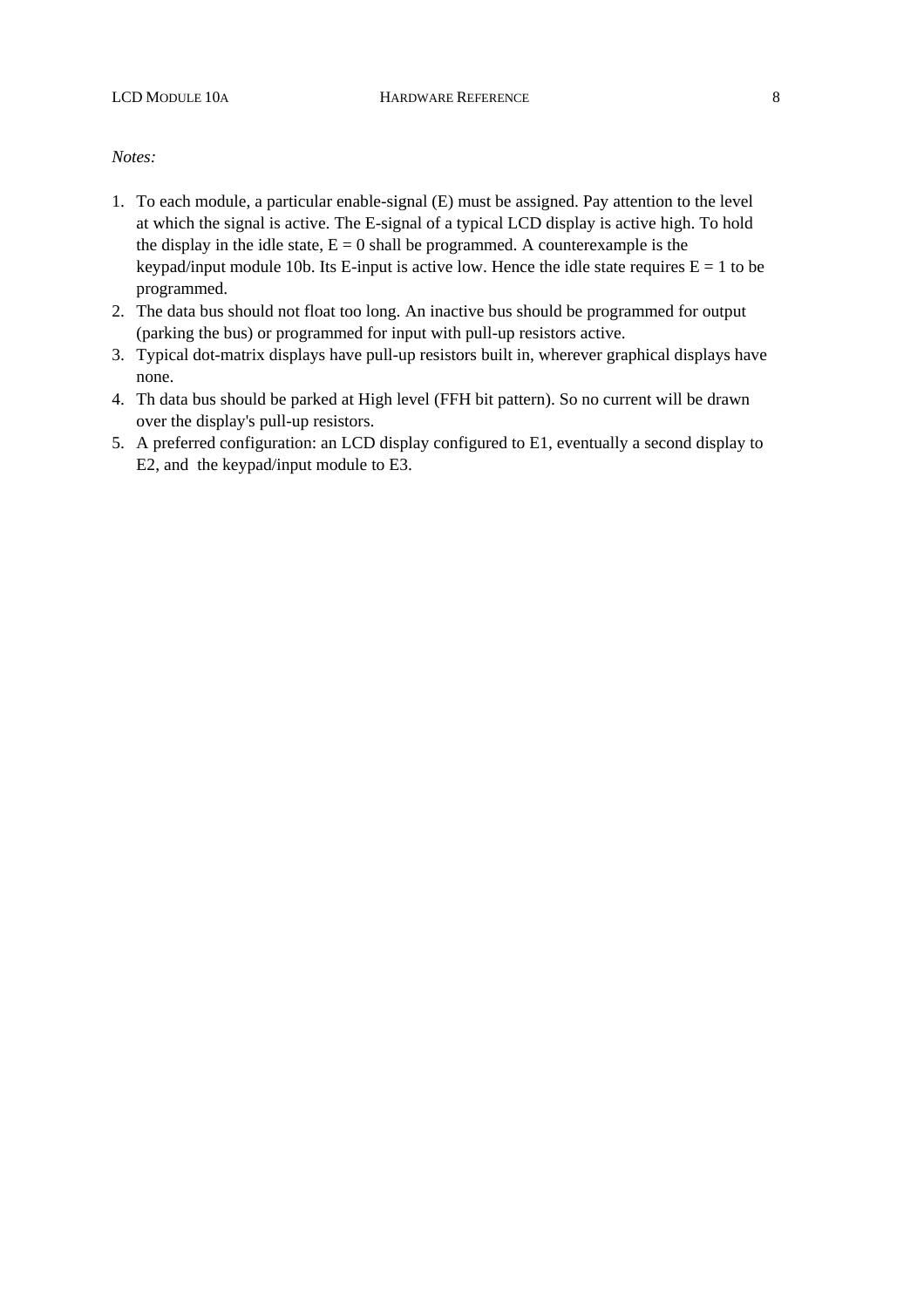### *Notes:*

- 1. To each module, a particular enable-signal (E) must be assigned. Pay attention to the level at which the signal is active. The E-signal of a typical LCD display is active high. To hold the display in the idle state,  $E = 0$  shall be programmed. A counterexample is the keypad/input module 10b. Its E-input is active low. Hence the idle state requires  $E = 1$  to be programmed.
- 2. The data bus should not float too long. An inactive bus should be programmed for output (parking the bus) or programmed for input with pull-up resistors active.
- 3. Typical dot-matrix displays have pull-up resistors built in, wherever graphical displays have none.
- 4. Th data bus should be parked at High level (FFH bit pattern). So no current will be drawn over the display's pull-up resistors.
- 5. A preferred configuration: an LCD display configured to E1, eventually a second display to E2, and the keypad/input module to E3.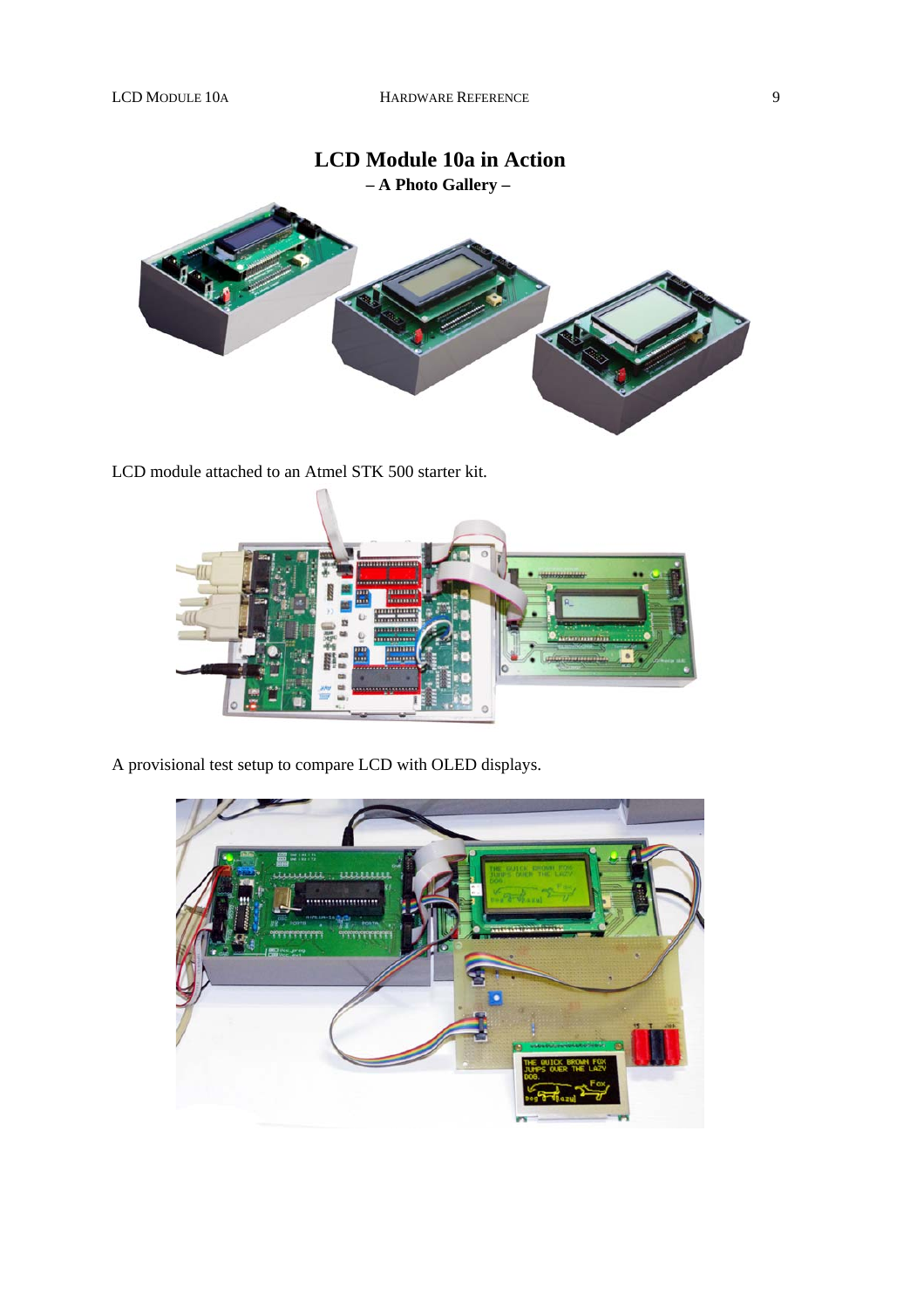# **LCD Module 10a in Action – A Photo Gallery –**

LCD module attached to an Atmel STK 500 starter kit.



A provisional test setup to compare LCD with OLED displays.

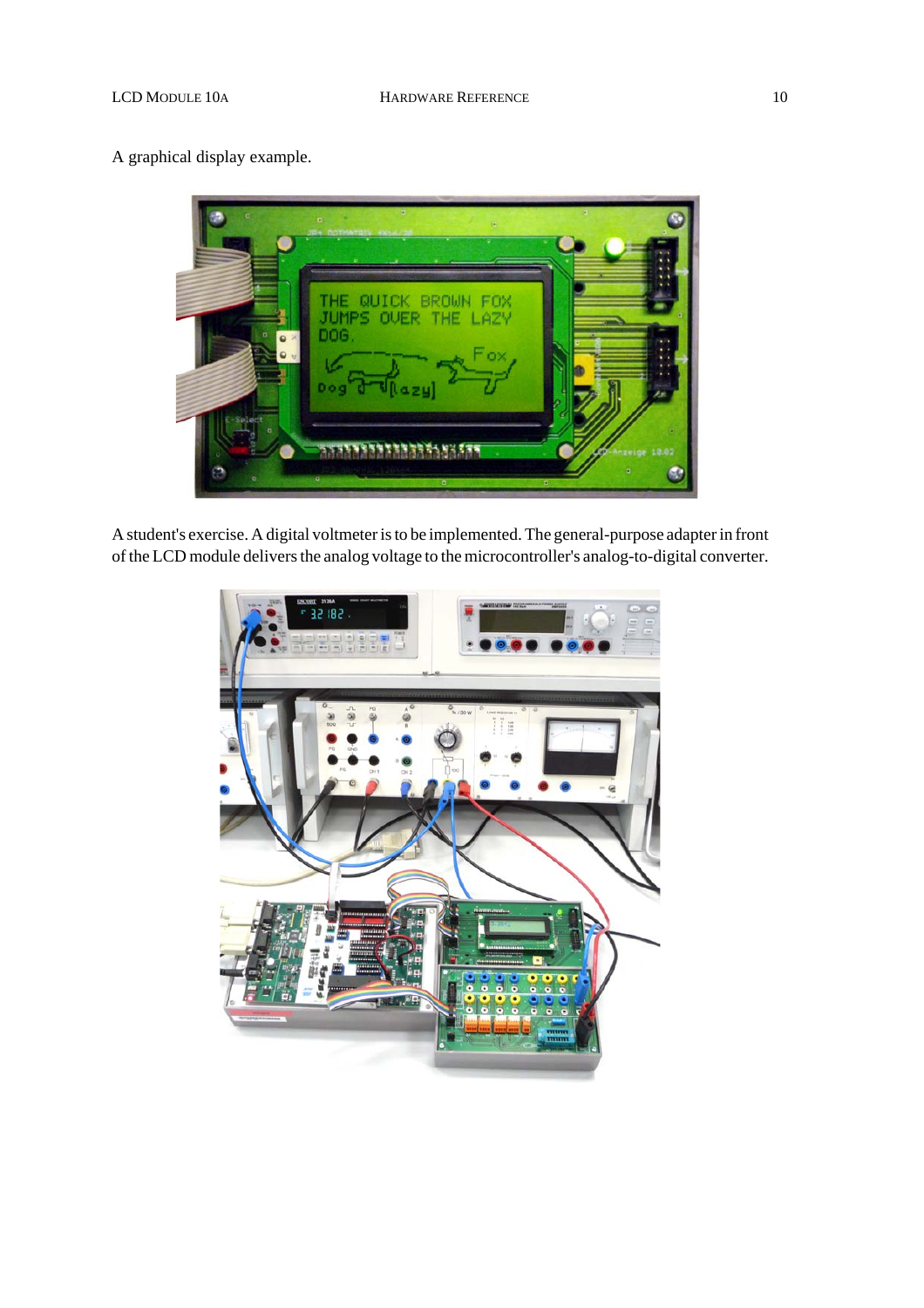## A graphical display example.

QUICK BROWN FOX **THE** JUMPS OVER THE LAZY **DOG** THE PERSON NAMED IN

A student's exercise. A digital voltmeter is to be implemented. The general-purpose adapter in front of the LCD module delivers the analog voltage to the microcontroller's analog-to-digital converter.